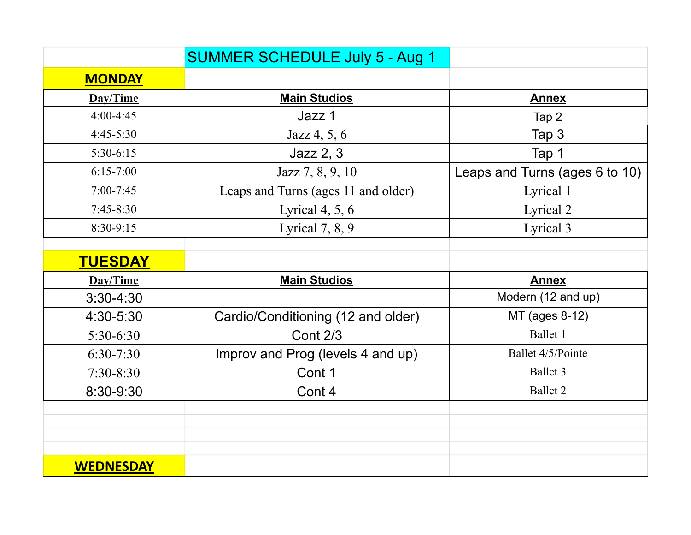|                  | <b>SUMMER SCHEDULE July 5 - Aug 1</b> |                                |
|------------------|---------------------------------------|--------------------------------|
| <b>MONDAY</b>    |                                       |                                |
| Day/Time         | <b>Main Studios</b>                   | <b>Annex</b>                   |
| $4:00-4:45$      | Jazz 1                                | Tap 2                          |
| $4:45-5:30$      | Jazz 4, 5, 6                          | Tap 3                          |
| $5:30-6:15$      | Jazz 2, 3                             | Tap 1                          |
| $6:15 - 7:00$    | Jazz 7, 8, 9, 10                      | Leaps and Turns (ages 6 to 10) |
| $7:00 - 7:45$    | Leaps and Turns (ages 11 and older)   | Lyrical 1                      |
| $7:45 - 8:30$    | Lyrical $4, 5, 6$                     | Lyrical 2                      |
| 8:30-9:15        | Lyrical $7, 8, 9$                     | Lyrical 3                      |
|                  |                                       |                                |
| <b>TUESDAY</b>   |                                       |                                |
| Day/Time         | <b>Main Studios</b>                   | <b>Annex</b>                   |
| $3:30-4:30$      |                                       | Modern (12 and up)             |
| 4:30-5:30        | Cardio/Conditioning (12 and older)    | MT (ages 8-12)                 |
| 5:30-6:30        | <b>Cont 2/3</b>                       | Ballet 1                       |
| $6:30-7:30$      | Improv and Prog (levels 4 and up)     | Ballet 4/5/Pointe              |
| $7:30 - 8:30$    | Cont 1                                | Ballet 3                       |
| 8:30-9:30        | Cont 4                                | Ballet 2                       |
|                  |                                       |                                |
|                  |                                       |                                |
|                  |                                       |                                |
| <b>WEDNESDAY</b> |                                       |                                |